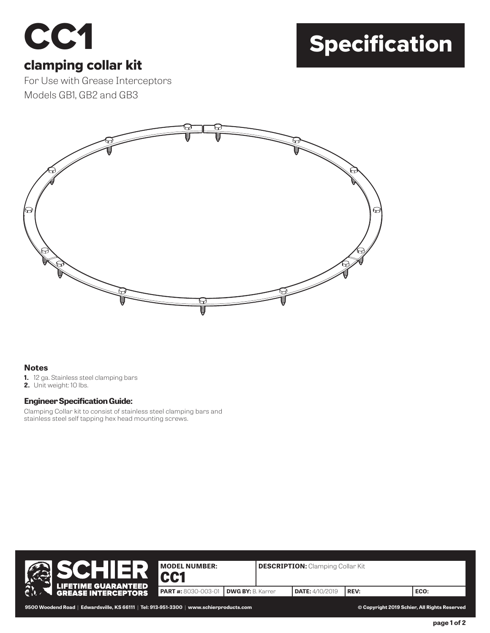# CC<sub>1</sub>

## Specification

#### clamping collar kit

For Use with Grease Interceptors Models GB1, GB2 and GB3



#### **Notes**

- **1.** 12 ga. Stainless steel clamping bars
- **2.** Unit weight: 10 lbs.

#### **Engineer Specification Guide:**

Clamping Collar kit to consist of stainless steel clamping bars and stainless steel self tapping hex head mounting screws.